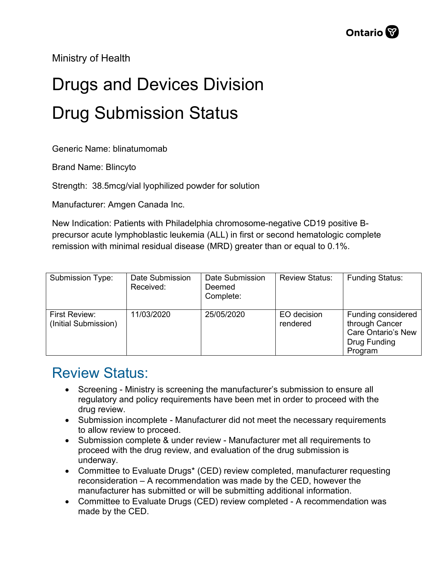Ministry of Health

## Drugs and Devices Division Drug Submission Status

Generic Name: blinatumomab

Brand Name: Blincyto

Strength: 38.5mcg/vial lyophilized powder for solution

Manufacturer: Amgen Canada Inc.

New Indication: Patients with Philadelphia chromosome-negative CD19 positive Bprecursor acute lymphoblastic leukemia (ALL) in first or second hematologic complete remission with minimal residual disease (MRD) greater than or equal to 0.1%.

| Submission Type:                             | Date Submission<br>Received: | Date Submission<br>Deemed<br>Complete: | <b>Review Status:</b>   | <b>Funding Status:</b>                                                                       |
|----------------------------------------------|------------------------------|----------------------------------------|-------------------------|----------------------------------------------------------------------------------------------|
| <b>First Review:</b><br>(Initial Submission) | 11/03/2020                   | 25/05/2020                             | EO decision<br>rendered | Funding considered<br>through Cancer<br><b>Care Ontario's New</b><br>Drug Funding<br>Program |

## Review Status:

- Screening Ministry is screening the manufacturer's submission to ensure all regulatory and policy requirements have been met in order to proceed with the drug review.
- Submission incomplete Manufacturer did not meet the necessary requirements to allow review to proceed.
- Submission complete & under review Manufacturer met all requirements to proceed with the drug review, and evaluation of the drug submission is underway.
- Committee to Evaluate Drugs\* (CED) review completed, manufacturer requesting reconsideration – A recommendation was made by the CED, however the manufacturer has submitted or will be submitting additional information.
- Committee to Evaluate Drugs (CED) review completed A recommendation was made by the CED.